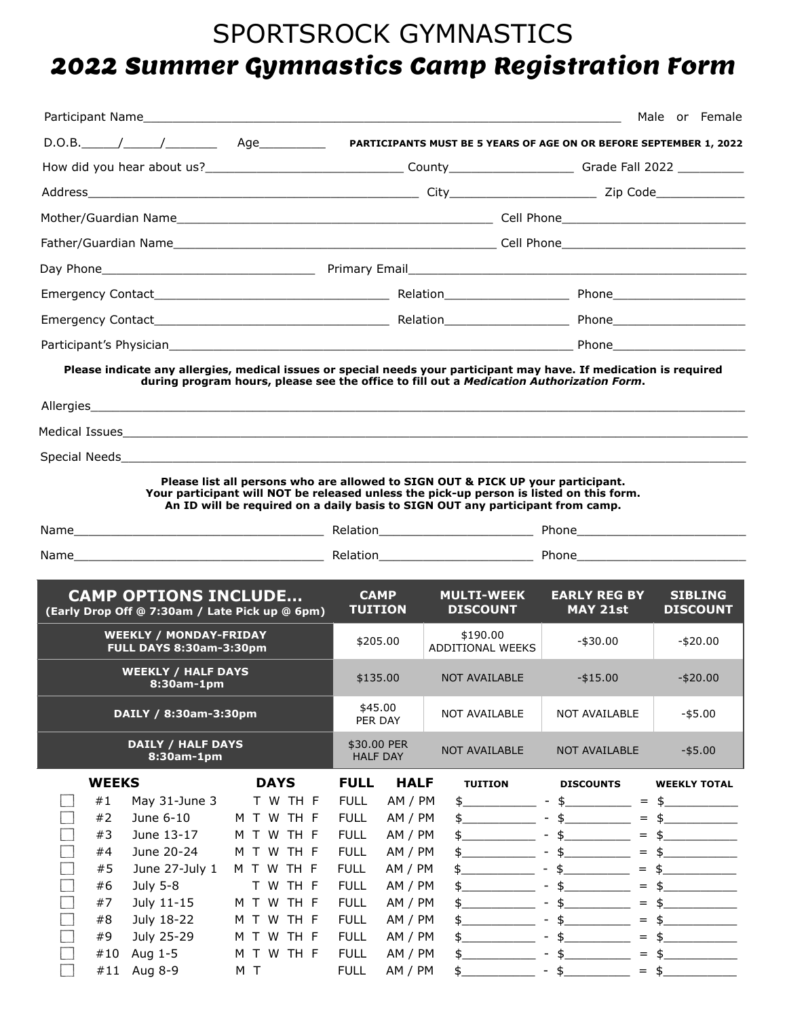# SPORTSROCK GYMNASTICS 2022 Summer Gymnastics Camp Registration Form

|                                                                                                                                                                                                                      |                                                                                                                                                                                                                                                              |                                                                                                                                     |                                                                                                 |                                                                                          |                                                                                                                                                                     | Male or Female                                                |
|----------------------------------------------------------------------------------------------------------------------------------------------------------------------------------------------------------------------|--------------------------------------------------------------------------------------------------------------------------------------------------------------------------------------------------------------------------------------------------------------|-------------------------------------------------------------------------------------------------------------------------------------|-------------------------------------------------------------------------------------------------|------------------------------------------------------------------------------------------|---------------------------------------------------------------------------------------------------------------------------------------------------------------------|---------------------------------------------------------------|
| $D.O.B.$ / /                                                                                                                                                                                                         | Age_____________                                                                                                                                                                                                                                             |                                                                                                                                     |                                                                                                 | PARTICIPANTS MUST BE 5 YEARS OF AGE ON OR BEFORE SEPTEMBER 1, 2022                       |                                                                                                                                                                     |                                                               |
|                                                                                                                                                                                                                      |                                                                                                                                                                                                                                                              |                                                                                                                                     |                                                                                                 |                                                                                          |                                                                                                                                                                     |                                                               |
|                                                                                                                                                                                                                      |                                                                                                                                                                                                                                                              |                                                                                                                                     |                                                                                                 |                                                                                          |                                                                                                                                                                     |                                                               |
|                                                                                                                                                                                                                      |                                                                                                                                                                                                                                                              |                                                                                                                                     |                                                                                                 |                                                                                          |                                                                                                                                                                     |                                                               |
|                                                                                                                                                                                                                      |                                                                                                                                                                                                                                                              |                                                                                                                                     |                                                                                                 |                                                                                          |                                                                                                                                                                     |                                                               |
|                                                                                                                                                                                                                      |                                                                                                                                                                                                                                                              |                                                                                                                                     |                                                                                                 |                                                                                          |                                                                                                                                                                     |                                                               |
|                                                                                                                                                                                                                      |                                                                                                                                                                                                                                                              |                                                                                                                                     |                                                                                                 |                                                                                          |                                                                                                                                                                     |                                                               |
|                                                                                                                                                                                                                      |                                                                                                                                                                                                                                                              |                                                                                                                                     |                                                                                                 |                                                                                          |                                                                                                                                                                     |                                                               |
|                                                                                                                                                                                                                      |                                                                                                                                                                                                                                                              |                                                                                                                                     |                                                                                                 |                                                                                          |                                                                                                                                                                     |                                                               |
| Please indicate any allergies, medical issues or special needs your participant may have. If medication is required                                                                                                  |                                                                                                                                                                                                                                                              |                                                                                                                                     |                                                                                                 | during program hours, please see the office to fill out a Medication Authorization Form. |                                                                                                                                                                     |                                                               |
|                                                                                                                                                                                                                      |                                                                                                                                                                                                                                                              |                                                                                                                                     |                                                                                                 |                                                                                          |                                                                                                                                                                     |                                                               |
|                                                                                                                                                                                                                      |                                                                                                                                                                                                                                                              |                                                                                                                                     |                                                                                                 |                                                                                          |                                                                                                                                                                     |                                                               |
|                                                                                                                                                                                                                      | Please list all persons who are allowed to SIGN OUT & PICK UP your participant.<br>Your participant will NOT be released unless the pick-up person is listed on this form.<br>An ID will be required on a daily basis to SIGN OUT any participant from camp. |                                                                                                                                     |                                                                                                 |                                                                                          |                                                                                                                                                                     |                                                               |
|                                                                                                                                                                                                                      |                                                                                                                                                                                                                                                              |                                                                                                                                     |                                                                                                 |                                                                                          |                                                                                                                                                                     |                                                               |
| <b>CAMP OPTIONS INCLUDE</b><br>(Early Drop Off @ 7:30am / Late Pick up @ 6pm)                                                                                                                                        |                                                                                                                                                                                                                                                              | САМР<br><b>TUITION</b>                                                                                                              |                                                                                                 | <b>MULTI-WEEK</b><br><b>DISCOUNT</b>                                                     | <b>EARLY REG BY</b><br><b>MAY 21st</b>                                                                                                                              | <b>SIBLING</b><br><b>DISCOUNT</b>                             |
| <b>WEEKLY / MONDAY-FRIDAY</b><br><b>FULL DAYS 8:30am-3:30pm</b>                                                                                                                                                      | \$205.00                                                                                                                                                                                                                                                     |                                                                                                                                     | \$190.00<br>ADDITIONAL WEEKS                                                                    | -\$30.00                                                                                 | $-$ \$20.00                                                                                                                                                         |                                                               |
| <b>WEEKLY / HALF DAYS</b><br>8:30am-1pm                                                                                                                                                                              |                                                                                                                                                                                                                                                              |                                                                                                                                     |                                                                                                 | \$135.00 NOT AVAILABLE                                                                   | $-$ \$15.00                                                                                                                                                         | $- $20.00$                                                    |
| DAILY / 8:30am-3:30pm                                                                                                                                                                                                | \$45.00<br>PER DAY                                                                                                                                                                                                                                           |                                                                                                                                     | NOT AVAILABLE                                                                                   | NOT AVAILABLE                                                                            | $-$ \$5.00                                                                                                                                                          |                                                               |
| <b>DAILY / HALF DAYS</b><br>8:30am-1pm                                                                                                                                                                               |                                                                                                                                                                                                                                                              | \$30.00 PER<br><b>HALF DAY</b>                                                                                                      |                                                                                                 | NOT AVAILABLE                                                                            | NOT AVAILABLE                                                                                                                                                       | $-$ \$5.00                                                    |
| <b>WEEKS</b>                                                                                                                                                                                                         | <b>DAYS</b>                                                                                                                                                                                                                                                  | <b>FULL</b>                                                                                                                         | <b>HALF</b>                                                                                     | <b>TUITION</b>                                                                           | <b>DISCOUNTS</b>                                                                                                                                                    | <b>WEEKLY TOTAL</b>                                           |
| #1<br>May 31-June 3<br>#2<br>June 6-10<br>#3<br>June 13-17<br>June 20-24<br>#4<br>June 27-July 1<br>#5<br>July 5-8<br>#6<br>July 11-15<br>#7<br>July 18-22<br>#8<br>July 25-29<br>#9<br>Aug 1-5<br>#10<br>M T W TH F | T W TH F<br>M T W TH F<br>M T W TH F<br>M T W TH F<br>M T W TH F<br>T W TH F<br>M T W TH F<br>M T W TH F<br>M T W TH F                                                                                                                                       | <b>FULL</b><br><b>FULL</b><br><b>FULL</b><br><b>FULL</b><br><b>FULL</b><br><b>FULL</b><br><b>FULL</b><br><b>FULL</b><br><b>FULL</b> | AM / PM<br>AM / PM<br>AM / PM<br>AM / PM<br>AM / PM<br>AM / PM<br>AM / PM<br>AM / PM<br>AM / PM | \$<br>$\sim$<br>\$<br>$\frac{1}{2}$<br>\$<br>\$.<br>\$.<br>\$.<br>$\frac{1}{2}$          | $\frac{1}{2}$<br>$=$<br>$\frac{1}{2}$<br>$=$<br>\$<br>$=$<br>\$<br>$=$<br>\$<br>$\overline{\phantom{a}}$<br>$=$<br>\$<br>$=$<br>\$<br>$=$<br>\$<br>$=$<br>\$<br>$=$ | $\frac{4}{5}$<br>\$<br>\$<br>\$<br>\$<br>\$<br>\$<br>\$<br>\$ |